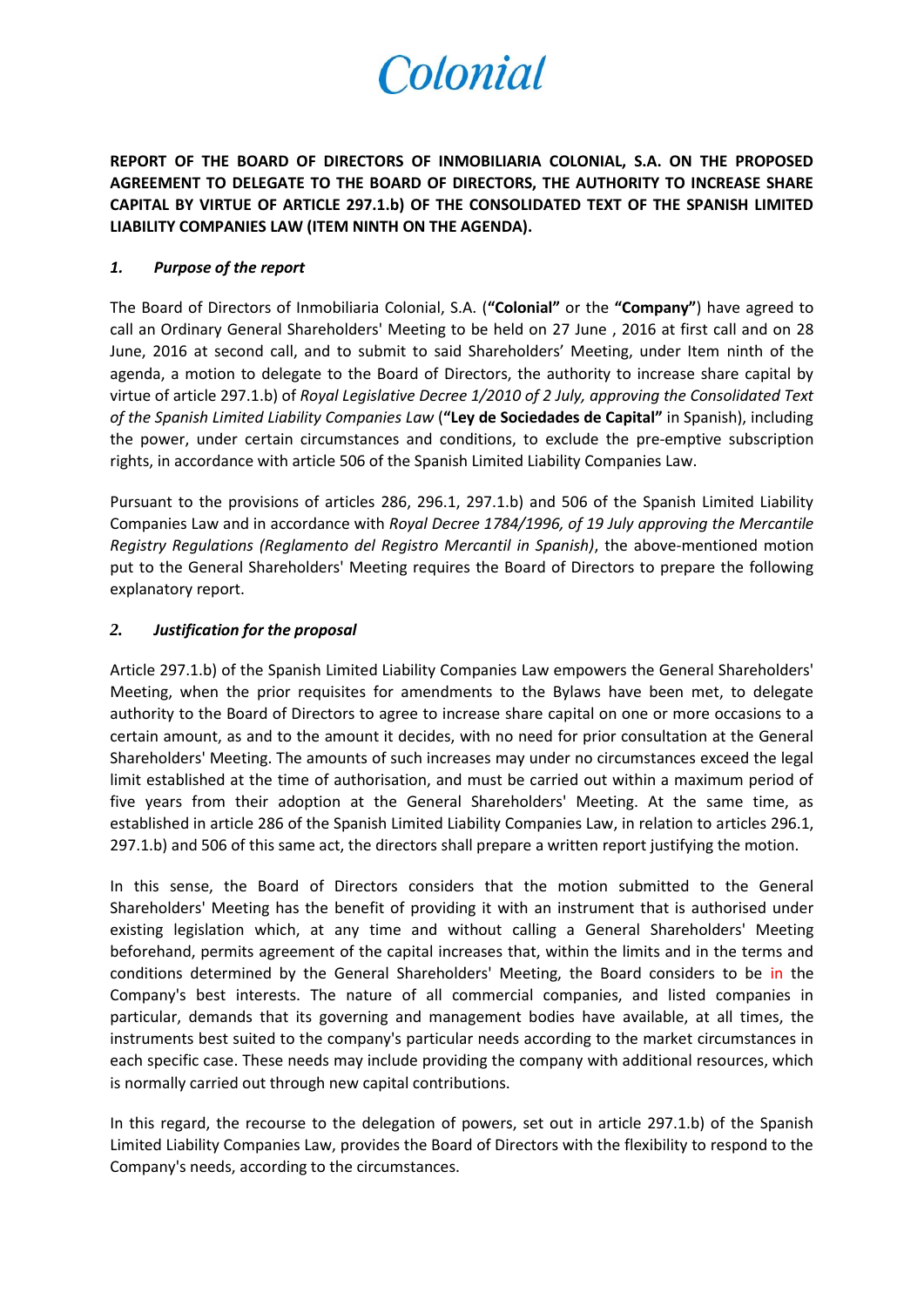## Colonial

**REPORT OF THE BOARD OF DIRECTORS OF INMOBILIARIA COLONIAL, S.A. ON THE PROPOSED AGREEMENT TO DELEGATE TO THE BOARD OF DIRECTORS, THE AUTHORITY TO INCREASE SHARE CAPITAL BY VIRTUE OF ARTICLE 297.1.b) OF THE CONSOLIDATED TEXT OF THE SPANISH LIMITED LIABILITY COMPANIES LAW (ITEM NINTH ON THE AGENDA).**

## *1. Purpose of the report*

The Board of Directors of Inmobiliaria Colonial, S.A. (**"Colonial"** or the **"Company"**) have agreed to call an Ordinary General Shareholders' Meeting to be held on 27 June , 2016 at first call and on 28 June, 2016 at second call, and to submit to said Shareholders' Meeting, under Item ninth of the agenda, a motion to delegate to the Board of Directors, the authority to increase share capital by virtue of article 297.1.b) of *Royal Legislative Decree 1/2010 of 2 July, approving the Consolidated Text of the Spanish Limited Liability Companies Law* (**"Ley de Sociedades de Capital"** in Spanish), including the power, under certain circumstances and conditions, to exclude the pre-emptive subscription rights, in accordance with article 506 of the Spanish Limited Liability Companies Law.

Pursuant to the provisions of articles 286, 296.1, 297.1.b) and 506 of the Spanish Limited Liability Companies Law and in accordance with *Royal Decree 1784/1996, of 19 July approving the Mercantile Registry Regulations (Reglamento del Registro Mercantil in Spanish)*, the above-mentioned motion put to the General Shareholders' Meeting requires the Board of Directors to prepare the following explanatory report.

## *2. Justification for the proposal*

Article 297.1.b) of the Spanish Limited Liability Companies Law empowers the General Shareholders' Meeting, when the prior requisites for amendments to the Bylaws have been met, to delegate authority to the Board of Directors to agree to increase share capital on one or more occasions to a certain amount, as and to the amount it decides, with no need for prior consultation at the General Shareholders' Meeting. The amounts of such increases may under no circumstances exceed the legal limit established at the time of authorisation, and must be carried out within a maximum period of five years from their adoption at the General Shareholders' Meeting. At the same time, as established in article 286 of the Spanish Limited Liability Companies Law, in relation to articles 296.1, 297.1.b) and 506 of this same act, the directors shall prepare a written report justifying the motion.

In this sense, the Board of Directors considers that the motion submitted to the General Shareholders' Meeting has the benefit of providing it with an instrument that is authorised under existing legislation which, at any time and without calling a General Shareholders' Meeting beforehand, permits agreement of the capital increases that, within the limits and in the terms and conditions determined by the General Shareholders' Meeting, the Board considers to be in the Company's best interests. The nature of all commercial companies, and listed companies in particular, demands that its governing and management bodies have available, at all times, the instruments best suited to the company's particular needs according to the market circumstances in each specific case. These needs may include providing the company with additional resources, which is normally carried out through new capital contributions.

In this regard, the recourse to the delegation of powers, set out in article 297.1.b) of the Spanish Limited Liability Companies Law, provides the Board of Directors with the flexibility to respond to the Company's needs, according to the circumstances.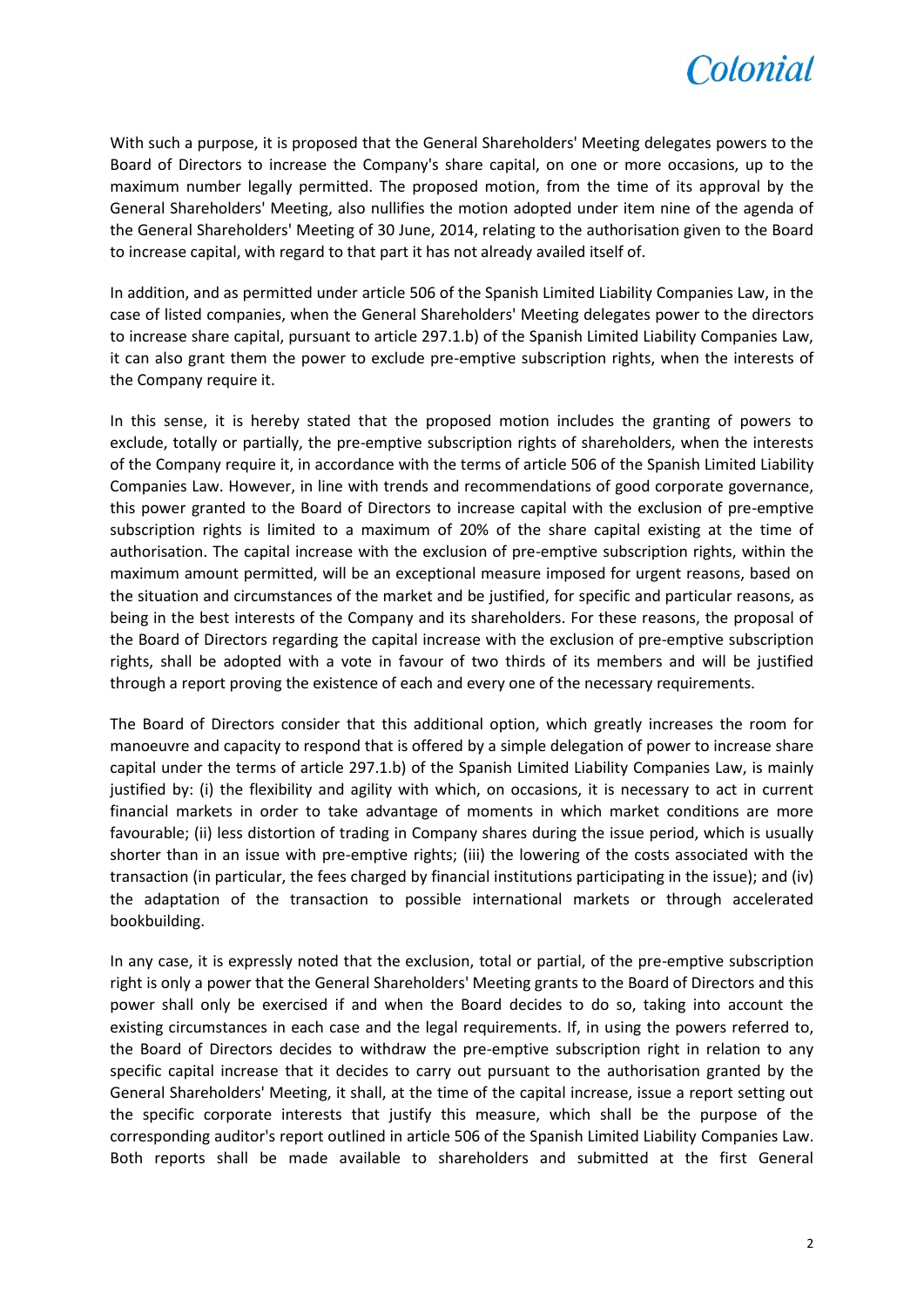

With such a purpose, it is proposed that the General Shareholders' Meeting delegates powers to the Board of Directors to increase the Company's share capital, on one or more occasions, up to the maximum number legally permitted. The proposed motion, from the time of its approval by the General Shareholders' Meeting, also nullifies the motion adopted under item nine of the agenda of the General Shareholders' Meeting of 30 June, 2014, relating to the authorisation given to the Board to increase capital, with regard to that part it has not already availed itself of.

In addition, and as permitted under article 506 of the Spanish Limited Liability Companies Law, in the case of listed companies, when the General Shareholders' Meeting delegates power to the directors to increase share capital, pursuant to article 297.1.b) of the Spanish Limited Liability Companies Law, it can also grant them the power to exclude pre-emptive subscription rights, when the interests of the Company require it.

In this sense, it is hereby stated that the proposed motion includes the granting of powers to exclude, totally or partially, the pre-emptive subscription rights of shareholders, when the interests of the Company require it, in accordance with the terms of article 506 of the Spanish Limited Liability Companies Law. However, in line with trends and recommendations of good corporate governance, this power granted to the Board of Directors to increase capital with the exclusion of pre-emptive subscription rights is limited to a maximum of 20% of the share capital existing at the time of authorisation. The capital increase with the exclusion of pre-emptive subscription rights, within the maximum amount permitted, will be an exceptional measure imposed for urgent reasons, based on the situation and circumstances of the market and be justified, for specific and particular reasons, as being in the best interests of the Company and its shareholders. For these reasons, the proposal of the Board of Directors regarding the capital increase with the exclusion of pre-emptive subscription rights, shall be adopted with a vote in favour of two thirds of its members and will be justified through a report proving the existence of each and every one of the necessary requirements.

The Board of Directors consider that this additional option, which greatly increases the room for manoeuvre and capacity to respond that is offered by a simple delegation of power to increase share capital under the terms of article 297.1.b) of the Spanish Limited Liability Companies Law, is mainly justified by: (i) the flexibility and agility with which, on occasions, it is necessary to act in current financial markets in order to take advantage of moments in which market conditions are more favourable; (ii) less distortion of trading in Company shares during the issue period, which is usually shorter than in an issue with pre-emptive rights; (iii) the lowering of the costs associated with the transaction (in particular, the fees charged by financial institutions participating in the issue); and (iv) the adaptation of the transaction to possible international markets or through accelerated bookbuilding.

In any case, it is expressly noted that the exclusion, total or partial, of the pre-emptive subscription right is only a power that the General Shareholders' Meeting grants to the Board of Directors and this power shall only be exercised if and when the Board decides to do so, taking into account the existing circumstances in each case and the legal requirements. If, in using the powers referred to, the Board of Directors decides to withdraw the pre-emptive subscription right in relation to any specific capital increase that it decides to carry out pursuant to the authorisation granted by the General Shareholders' Meeting, it shall, at the time of the capital increase, issue a report setting out the specific corporate interests that justify this measure, which shall be the purpose of the corresponding auditor's report outlined in article 506 of the Spanish Limited Liability Companies Law. Both reports shall be made available to shareholders and submitted at the first General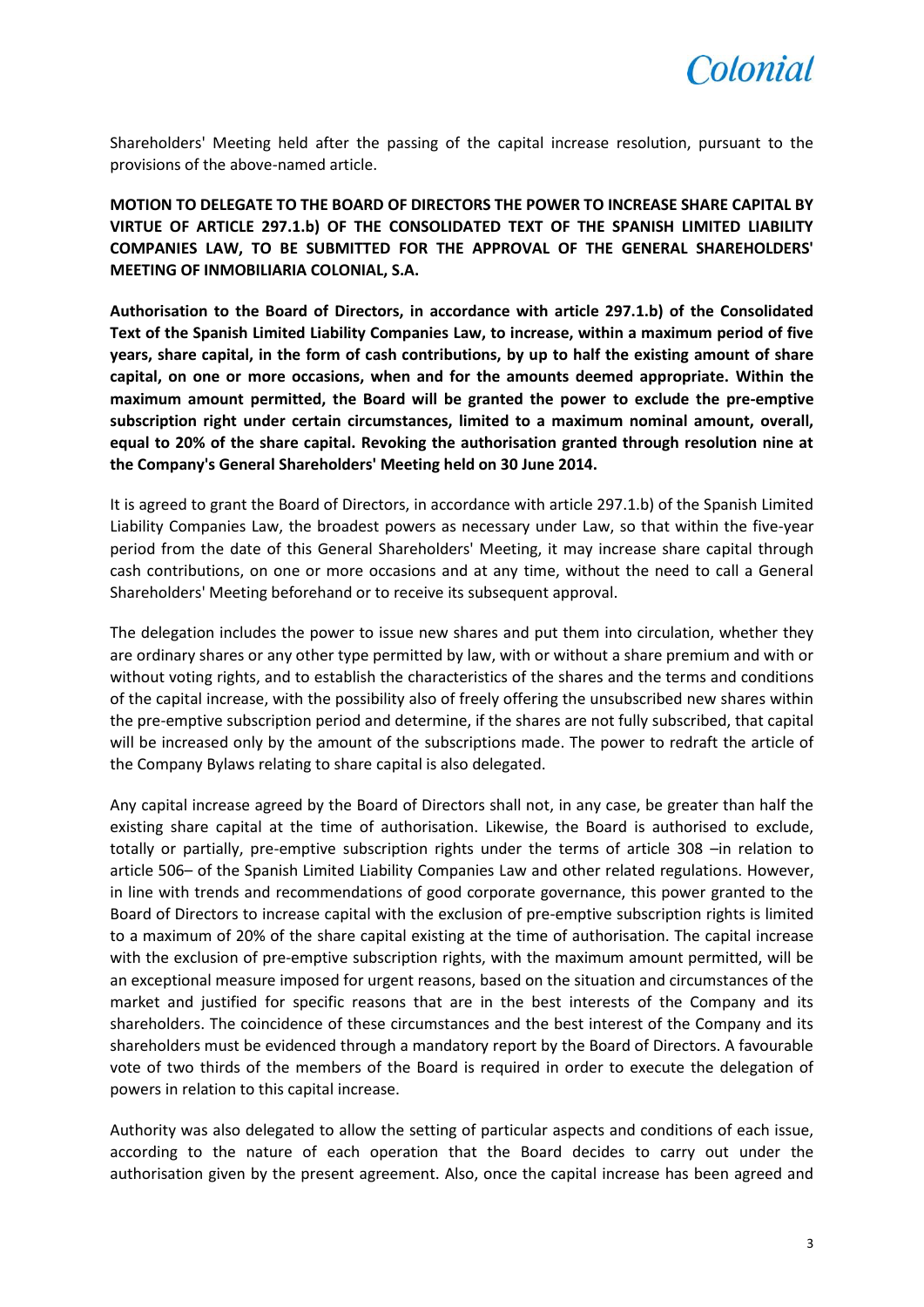

Shareholders' Meeting held after the passing of the capital increase resolution, pursuant to the provisions of the above-named article.

**MOTION TO DELEGATE TO THE BOARD OF DIRECTORS THE POWER TO INCREASE SHARE CAPITAL BY VIRTUE OF ARTICLE 297.1.b) OF THE CONSOLIDATED TEXT OF THE SPANISH LIMITED LIABILITY COMPANIES LAW, TO BE SUBMITTED FOR THE APPROVAL OF THE GENERAL SHAREHOLDERS' MEETING OF INMOBILIARIA COLONIAL, S.A.**

**Authorisation to the Board of Directors, in accordance with article 297.1.b) of the Consolidated Text of the Spanish Limited Liability Companies Law, to increase, within a maximum period of five years, share capital, in the form of cash contributions, by up to half the existing amount of share capital, on one or more occasions, when and for the amounts deemed appropriate. Within the maximum amount permitted, the Board will be granted the power to exclude the pre-emptive subscription right under certain circumstances, limited to a maximum nominal amount, overall, equal to 20% of the share capital. Revoking the authorisation granted through resolution nine at the Company's General Shareholders' Meeting held on 30 June 2014.**

It is agreed to grant the Board of Directors, in accordance with article 297.1.b) of the Spanish Limited Liability Companies Law, the broadest powers as necessary under Law, so that within the five-year period from the date of this General Shareholders' Meeting, it may increase share capital through cash contributions, on one or more occasions and at any time, without the need to call a General Shareholders' Meeting beforehand or to receive its subsequent approval.

The delegation includes the power to issue new shares and put them into circulation, whether they are ordinary shares or any other type permitted by law, with or without a share premium and with or without voting rights, and to establish the characteristics of the shares and the terms and conditions of the capital increase, with the possibility also of freely offering the unsubscribed new shares within the pre-emptive subscription period and determine, if the shares are not fully subscribed, that capital will be increased only by the amount of the subscriptions made. The power to redraft the article of the Company Bylaws relating to share capital is also delegated.

Any capital increase agreed by the Board of Directors shall not, in any case, be greater than half the existing share capital at the time of authorisation. Likewise, the Board is authorised to exclude, totally or partially, pre-emptive subscription rights under the terms of article 308 –in relation to article 506– of the Spanish Limited Liability Companies Law and other related regulations. However, in line with trends and recommendations of good corporate governance, this power granted to the Board of Directors to increase capital with the exclusion of pre-emptive subscription rights is limited to a maximum of 20% of the share capital existing at the time of authorisation. The capital increase with the exclusion of pre-emptive subscription rights, with the maximum amount permitted, will be an exceptional measure imposed for urgent reasons, based on the situation and circumstances of the market and justified for specific reasons that are in the best interests of the Company and its shareholders. The coincidence of these circumstances and the best interest of the Company and its shareholders must be evidenced through a mandatory report by the Board of Directors. A favourable vote of two thirds of the members of the Board is required in order to execute the delegation of powers in relation to this capital increase.

Authority was also delegated to allow the setting of particular aspects and conditions of each issue, according to the nature of each operation that the Board decides to carry out under the authorisation given by the present agreement. Also, once the capital increase has been agreed and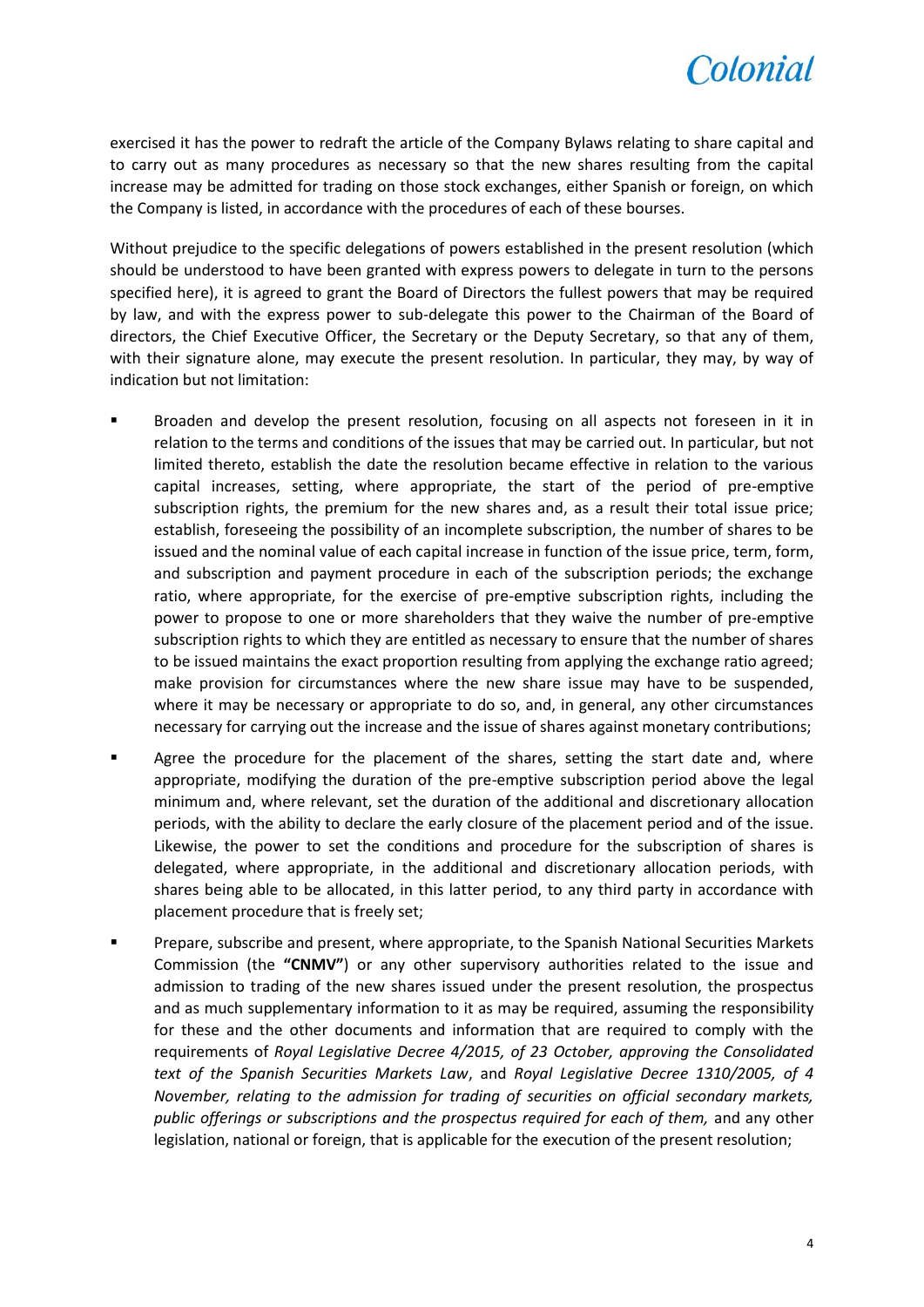

exercised it has the power to redraft the article of the Company Bylaws relating to share capital and to carry out as many procedures as necessary so that the new shares resulting from the capital increase may be admitted for trading on those stock exchanges, either Spanish or foreign, on which the Company is listed, in accordance with the procedures of each of these bourses.

Without prejudice to the specific delegations of powers established in the present resolution (which should be understood to have been granted with express powers to delegate in turn to the persons specified here), it is agreed to grant the Board of Directors the fullest powers that may be required by law, and with the express power to sub-delegate this power to the Chairman of the Board of directors, the Chief Executive Officer, the Secretary or the Deputy Secretary, so that any of them, with their signature alone, may execute the present resolution. In particular, they may, by way of indication but not limitation:

- Broaden and develop the present resolution, focusing on all aspects not foreseen in it in relation to the terms and conditions of the issues that may be carried out. In particular, but not limited thereto, establish the date the resolution became effective in relation to the various capital increases, setting, where appropriate, the start of the period of pre-emptive subscription rights, the premium for the new shares and, as a result their total issue price; establish, foreseeing the possibility of an incomplete subscription, the number of shares to be issued and the nominal value of each capital increase in function of the issue price, term, form, and subscription and payment procedure in each of the subscription periods; the exchange ratio, where appropriate, for the exercise of pre-emptive subscription rights, including the power to propose to one or more shareholders that they waive the number of pre-emptive subscription rights to which they are entitled as necessary to ensure that the number of shares to be issued maintains the exact proportion resulting from applying the exchange ratio agreed; make provision for circumstances where the new share issue may have to be suspended, where it may be necessary or appropriate to do so, and, in general, any other circumstances necessary for carrying out the increase and the issue of shares against monetary contributions;
- **Agree the procedure for the placement of the shares, setting the start date and, where** appropriate, modifying the duration of the pre-emptive subscription period above the legal minimum and, where relevant, set the duration of the additional and discretionary allocation periods, with the ability to declare the early closure of the placement period and of the issue. Likewise, the power to set the conditions and procedure for the subscription of shares is delegated, where appropriate, in the additional and discretionary allocation periods, with shares being able to be allocated, in this latter period, to any third party in accordance with placement procedure that is freely set;
- Prepare, subscribe and present, where appropriate, to the Spanish National Securities Markets Commission (the **"CNMV"**) or any other supervisory authorities related to the issue and admission to trading of the new shares issued under the present resolution, the prospectus and as much supplementary information to it as may be required, assuming the responsibility for these and the other documents and information that are required to comply with the requirements of *Royal Legislative Decree 4/2015, of 23 October, approving the Consolidated text of the Spanish Securities Markets Law*, and *Royal Legislative Decree 1310/2005, of 4 November, relating to the admission for trading of securities on official secondary markets, public offerings or subscriptions and the prospectus required for each of them,* and any other legislation, national or foreign, that is applicable for the execution of the present resolution;